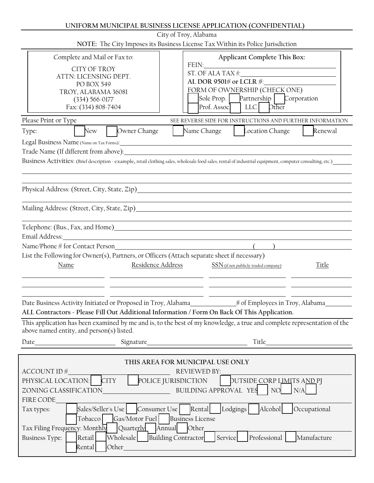| UNIFORM MUNICIPAL BUSINESS LICENSE APPLICATION (CONFIDENTIAL) |  |
|---------------------------------------------------------------|--|
|---------------------------------------------------------------|--|

| City of Troy, Alabama                                                                                                                                                                                                                                                                                                                                                                                                                                                                                                                                          |  |  |
|----------------------------------------------------------------------------------------------------------------------------------------------------------------------------------------------------------------------------------------------------------------------------------------------------------------------------------------------------------------------------------------------------------------------------------------------------------------------------------------------------------------------------------------------------------------|--|--|
| NOTE: The City Imposes its Business License Tax Within its Police Jurisdiction                                                                                                                                                                                                                                                                                                                                                                                                                                                                                 |  |  |
| Complete and Mail or Fax to:<br>Applicant Complete This Box:<br>FEIN:<br><b>CITY OF TROY</b><br>ST. OF ALA TAX $\frac{1}{2}$<br>ATTN: LICENSING DEPT.<br>AL DOR 9501# or LCLR #:<br>PO BOX 549<br>FORM OF OWNERSHIP (CHECK ONE)<br>TROY, ALABAMA 36081<br>Sole Prop. Partnership   Corporation<br>$(334) 566 - 0177$<br>Prof. Assoc<br>Fax: (334) 808-7404<br>$ $ LLC<br><b>Dther</b><br>Please Print or Type<br>SEE REVERSE SIDE FOR INSTRUCTIONS AND FURTHER INFORMATION<br>Owner Change<br>Name Change<br>Location Change<br>Renewal<br><b>New</b><br>Type: |  |  |
|                                                                                                                                                                                                                                                                                                                                                                                                                                                                                                                                                                |  |  |
|                                                                                                                                                                                                                                                                                                                                                                                                                                                                                                                                                                |  |  |
| Business Activities: (Brief description - example, retail clothing sales, wholesale food sales, rental of industrial equipment, computer consulting, etc.)                                                                                                                                                                                                                                                                                                                                                                                                     |  |  |
| Physical Address: (Street, City, State, Zip)                                                                                                                                                                                                                                                                                                                                                                                                                                                                                                                   |  |  |
|                                                                                                                                                                                                                                                                                                                                                                                                                                                                                                                                                                |  |  |
| Email Address:<br>Name/Phone <i> #</i> for Contact Person<br>List the Following for Owner(s), Partners, or Officers (Attach separate sheet if necessary)<br>Residence Address<br>SSN (if not publicly-traded company)<br>Name<br>Title                                                                                                                                                                                                                                                                                                                         |  |  |
|                                                                                                                                                                                                                                                                                                                                                                                                                                                                                                                                                                |  |  |
| Date Business Activity Initiated or Proposed in Troy, Alabama<br>$\#$ of Employees in Troy, Alabama<br>ALL Contractors - Please Fill Out Additional Information / Form On Back Of This Application.                                                                                                                                                                                                                                                                                                                                                            |  |  |
| This application has been examined by me and is, to the best of my knowledge, a true and complete representation of the<br>above named entity, and person(s) listed.                                                                                                                                                                                                                                                                                                                                                                                           |  |  |
| Title                                                                                                                                                                                                                                                                                                                                                                                                                                                                                                                                                          |  |  |
|                                                                                                                                                                                                                                                                                                                                                                                                                                                                                                                                                                |  |  |
| THIS AREA FOR MUNICIPAL USE ONLY<br>ACCOUNT ID <b>#</b><br><b>REVIEWED BY:</b><br>PHYSICAL LOCATION: CITY<br>POLICE JURISDICTION<br><b>DUTSIDE CORP LIMITS AND PI</b>                                                                                                                                                                                                                                                                                                                                                                                          |  |  |
| BUILDING APPROVAL YES<br>  NO<br>N/A<br>ZONING CLASSIFICATION<br>FIRE CODE                                                                                                                                                                                                                                                                                                                                                                                                                                                                                     |  |  |
| Consumer Use Rental<br>Alcohol<br>Sales/Seller's Use<br>Lodgings<br>Occupational<br>Tax types:<br>Gas/Motor Fuel<br><b>Business License</b><br>Tobacco <sup>1</sup><br>Annual Other<br>Quarterly                                                                                                                                                                                                                                                                                                                                                               |  |  |
| Tax Filing Frequency: Monthly<br>Wholesale<br>Professional<br><b>Business Type:</b><br>Retail<br><b>Building Contractor</b><br>Manufacture<br>Service<br>Other<br>Rental                                                                                                                                                                                                                                                                                                                                                                                       |  |  |